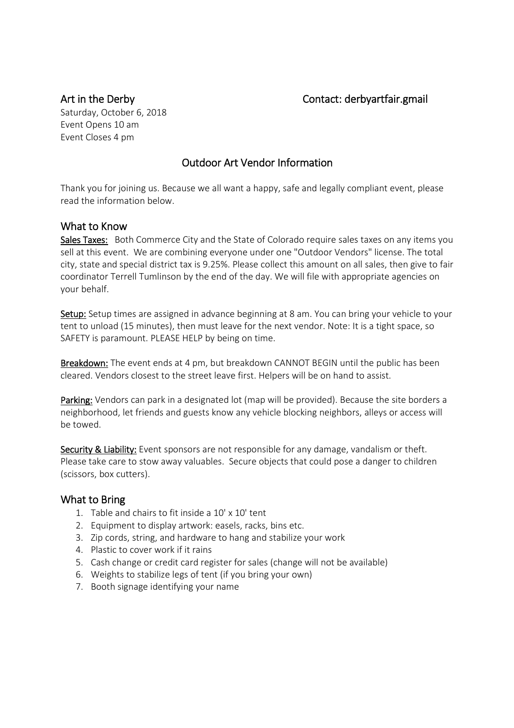# Art in the Derby **Contact:** derbyartfair.gmail

Saturday, October 6, 2018 Event Opens 10 am Event Closes 4 pm

# Outdoor Art Vendor Information

Thank you for joining us. Because we all want a happy, safe and legally compliant event, please read the information below.

### What to Know

Sales Taxes: Both Commerce City and the State of Colorado require sales taxes on any items you sell at this event. We are combining everyone under one "Outdoor Vendors" license. The total city, state and special district tax is 9.25%. Please collect this amount on all sales, then give to fair coordinator Terrell Tumlinson by the end of the day. We will file with appropriate agencies on your behalf.

Setup: Setup times are assigned in advance beginning at 8 am. You can bring your vehicle to your tent to unload (15 minutes), then must leave for the next vendor. Note: It is a tight space, so SAFETY is paramount. PLEASE HELP by being on time.

Breakdown: The event ends at 4 pm, but breakdown CANNOT BEGIN until the public has been cleared. Vendors closest to the street leave first. Helpers will be on hand to assist.

Parking: Vendors can park in a designated lot (map will be provided). Because the site borders a neighborhood, let friends and guests know any vehicle blocking neighbors, alleys or access will be towed.

Security & Liability: Event sponsors are not responsible for any damage, vandalism or theft. Please take care to stow away valuables. Secure objects that could pose a danger to children (scissors, box cutters).

#### What to Bring

- 1. Table and chairs to fit inside a 10' x 10' tent
- 2. Equipment to display artwork: easels, racks, bins etc.
- 3. Zip cords, string, and hardware to hang and stabilize your work
- 4. Plastic to cover work if it rains
- 5. Cash change or credit card register for sales (change will not be available)
- 6. Weights to stabilize legs of tent (if you bring your own)
- 7. Booth signage identifying your name